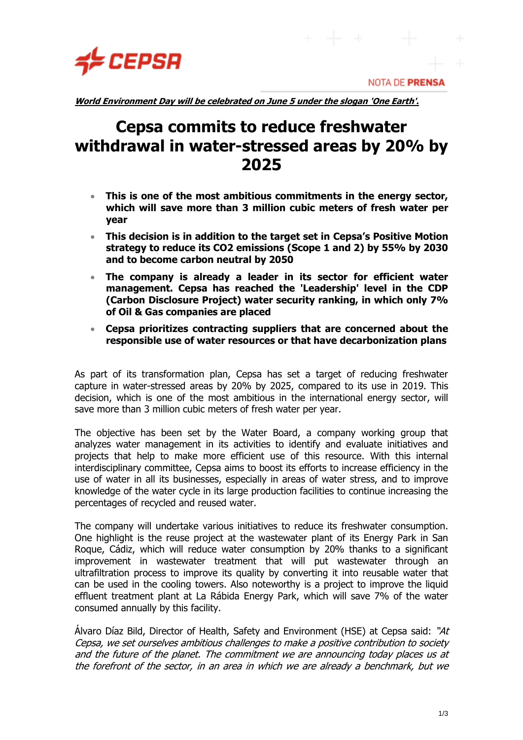

**NOTA DE PRENSA** 

**World Environment Day will be celebrated on June 5 under the slogan 'One Earth'.**

# **Cepsa commits to reduce freshwater withdrawal in water-stressed areas by 20% by 2025**

- **This is one of the most ambitious commitments in the energy sector, which will save more than 3 million cubic meters of fresh water per year**
- **This decision is in addition to the target set in Cepsa's Positive Motion strategy to reduce its CO2 emissions (Scope 1 and 2) by 55% by 2030 and to become carbon neutral by 2050**
- **The company is already a leader in its sector for efficient water management. Cepsa has reached the 'Leadership' level in the CDP (Carbon Disclosure Project) water security ranking, in which only 7% of Oil & Gas companies are placed**
- **Cepsa prioritizes contracting suppliers that are concerned about the responsible use of water resources or that have decarbonization plans**

As part of its transformation plan, Cepsa has set a target of reducing freshwater capture in water-stressed areas by 20% by 2025, compared to its use in 2019. This decision, which is one of the most ambitious in the international energy sector, will save more than 3 million cubic meters of fresh water per year.

The objective has been set by the Water Board, a company working group that analyzes water management in its activities to identify and evaluate initiatives and projects that help to make more efficient use of this resource. With this internal interdisciplinary committee, Cepsa aims to boost its efforts to increase efficiency in the use of water in all its businesses, especially in areas of water stress, and to improve knowledge of the water cycle in its large production facilities to continue increasing the percentages of recycled and reused water.

The company will undertake various initiatives to reduce its freshwater consumption. One highlight is the reuse project at the wastewater plant of its Energy Park in San Roque, Cádiz, which will reduce water consumption by 20% thanks to a significant improvement in wastewater treatment that will put wastewater through an ultrafiltration process to improve its quality by converting it into reusable water that can be used in the cooling towers. Also noteworthy is a project to improve the liquid effluent treatment plant at La Rábida Energy Park, which will save 7% of the water consumed annually by this facility.

Álvaro Díaz Bild, Director of Health, Safety and Environment (HSE) at Cepsa said: " $At$ Cepsa, we set ourselves ambitious challenges to make a positive contribution to society and the future of the planet. The commitment we are announcing today places us at the forefront of the sector, in an area in which we are already a benchmark, but we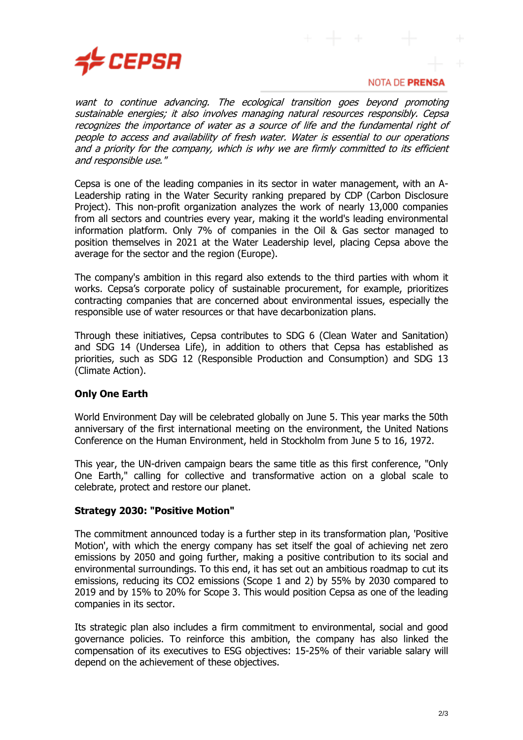

### NOTA DE PRENSA

want to continue advancing. The ecological transition goes beyond promoting sustainable energies; it also involves managing natural resources responsibly. Cepsa recognizes the importance of water as a source of life and the fundamental right of people to access and availability of fresh water. Water is essential to our operations and a priority for the company, which is why we are firmly committed to its efficient and responsible use."

Cepsa is one of the leading companies in its sector in water management, with an A-Leadership rating in the Water Security ranking prepared by CDP (Carbon Disclosure Project). This non-profit organization analyzes the work of nearly 13,000 companies from all sectors and countries every year, making it the world's leading environmental information platform. Only 7% of companies in the Oil & Gas sector managed to position themselves in 2021 at the Water Leadership level, placing Cepsa above the average for the sector and the region (Europe).

The company's ambition in this regard also extends to the third parties with whom it works. Cepsa's corporate policy of sustainable procurement, for example, prioritizes contracting companies that are concerned about environmental issues, especially the responsible use of water resources or that have decarbonization plans.

Through these initiatives, Cepsa contributes to SDG 6 (Clean Water and Sanitation) and SDG 14 (Undersea Life), in addition to others that Cepsa has established as priorities, such as SDG 12 (Responsible Production and Consumption) and SDG 13 (Climate Action).

# **Only One Earth**

World Environment Day will be celebrated globally on June 5. This year marks the 50th anniversary of the first international meeting on the environment, the United Nations Conference on the Human Environment, held in Stockholm from June 5 to 16, 1972.

This year, the UN-driven campaign bears the same title as this first conference, "Only One Earth," calling for collective and transformative action on a global scale to celebrate, protect and restore our planet.

## **Strategy 2030: "Positive Motion"**

The commitment announced today is a further step in its transformation plan, 'Positive Motion', with which the energy company has set itself the goal of achieving net zero emissions by 2050 and going further, making a positive contribution to its social and environmental surroundings. To this end, it has set out an ambitious roadmap to cut its emissions, reducing its CO2 emissions (Scope 1 and 2) by 55% by 2030 compared to 2019 and by 15% to 20% for Scope 3. This would position Cepsa as one of the leading companies in its sector.

Its strategic plan also includes a firm commitment to environmental, social and good governance policies. To reinforce this ambition, the company has also linked the compensation of its executives to ESG objectives: 15-25% of their variable salary will depend on the achievement of these objectives.